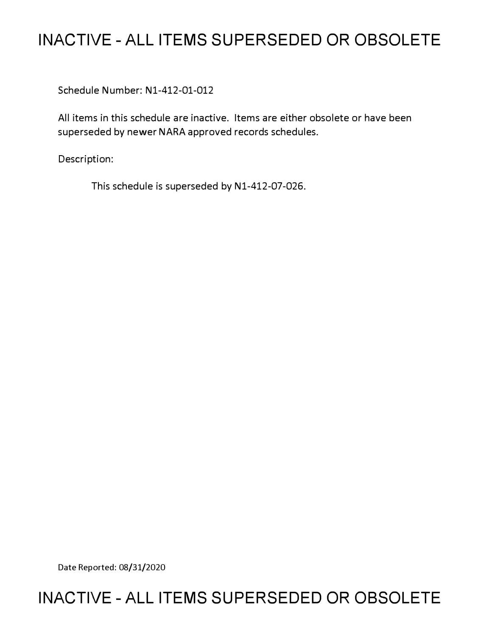# **INACTIVE - ALL ITEMS SUPERSEDED OR OBSOLETE**

Schedule Number: Nl-412-01-012

All items in this schedule are inactive. Items are either obsolete or have been superseded by newer NARA approved records schedules.

Description:

This schedule is superseded by N1-412-07-026.

Date Reported: 08/31/2020

# **INACTIVE - ALL ITEMS SUPERSEDED OR OBSOLETE**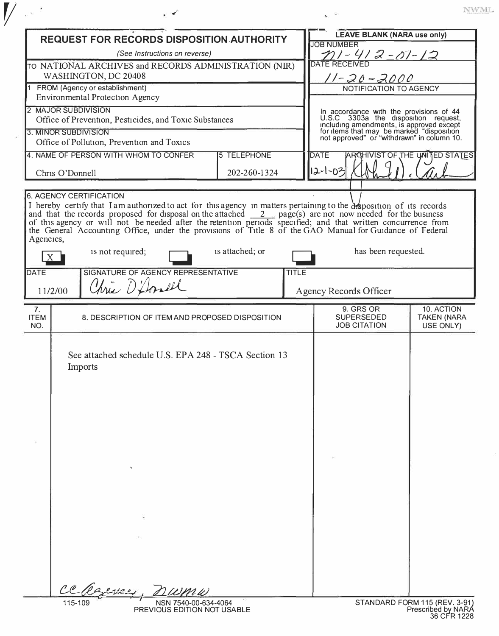| ż | l |   | vз | и<br>- 2 |
|---|---|---|----|----------|
|   |   | ÷ | ÷  |          |

|                                      | <b>REQUEST FOR RECORDS DISPOSITION AUTHORITY</b>                                                                                                                                                                                                                                                                                                                                      |                    | <b>LEAVE BLANK (NARA use only)</b>                                                                                                                                                                                     |                                               |
|--------------------------------------|---------------------------------------------------------------------------------------------------------------------------------------------------------------------------------------------------------------------------------------------------------------------------------------------------------------------------------------------------------------------------------------|--------------------|------------------------------------------------------------------------------------------------------------------------------------------------------------------------------------------------------------------------|-----------------------------------------------|
|                                      | (See Instructions on reverse)                                                                                                                                                                                                                                                                                                                                                         |                    | <b>JOB NUMBER</b><br><u> 771 - 41 2 - 07 - 12</u>                                                                                                                                                                      |                                               |
|                                      | TO NATIONAL ARCHIVES and RECORDS ADMINISTRATION (NIR)                                                                                                                                                                                                                                                                                                                                 |                    | <b>DATE RECEIVED</b>                                                                                                                                                                                                   |                                               |
|                                      | WASHINGTON, DC 20408                                                                                                                                                                                                                                                                                                                                                                  |                    | 11-20-2000                                                                                                                                                                                                             |                                               |
|                                      | 1 FROM (Agency or establishment)<br><b>Environmental Protection Agency</b>                                                                                                                                                                                                                                                                                                            |                    | NOTIFICATION TO AGENCY                                                                                                                                                                                                 |                                               |
|                                      | <b>MAJOR SUBDIVISION</b><br>Office of Prevention, Pesticides, and Toxic Substances                                                                                                                                                                                                                                                                                                    |                    |                                                                                                                                                                                                                        |                                               |
| 3. MINOR SUBDIVISION                 |                                                                                                                                                                                                                                                                                                                                                                                       |                    | In accordance with the provisions of 44<br>U.S.C 3303a the disposition request,<br>including amendments, is approved except<br>for items that may be marked "disposition<br>not approved" or "withdrawn" in column 10. |                                               |
|                                      | Office of Pollution, Prevention and Toxics                                                                                                                                                                                                                                                                                                                                            |                    |                                                                                                                                                                                                                        |                                               |
|                                      | 4. NAME OF PERSON WITH WHOM TO CONFER                                                                                                                                                                                                                                                                                                                                                 | <b>5 TELEPHONE</b> | <b>DATE</b>                                                                                                                                                                                                            | ARCHIVIST OF THE UNITED STATES                |
| Chris O'Donnell                      |                                                                                                                                                                                                                                                                                                                                                                                       | 202-260-1324       | 12-1-03                                                                                                                                                                                                                |                                               |
| Agencies,                            | I hereby certify that I am authorized to act for this agency in matters pertaining to the desposition of its records<br>and that the records proposed for disposal on the attached <u>2</u> page(s) are not now needed for the business<br>of this agency or will not be needed after the retention periods specified; and that written concurrence from<br>the G<br>is not required; | is attached; or    | has been requested.                                                                                                                                                                                                    |                                               |
|                                      |                                                                                                                                                                                                                                                                                                                                                                                       |                    |                                                                                                                                                                                                                        |                                               |
| <b>DATE</b><br>11/2/00               | SIGNATURE OF AGENCY REPRESENTATIVE<br>Chris D'Amel                                                                                                                                                                                                                                                                                                                                    | <b>TITLE</b>       | Agency Records Officer                                                                                                                                                                                                 |                                               |
| 7 <sub>1</sub><br><b>ITEM</b><br>NO. | 8. DESCRIPTION OF ITEM AND PROPOSED DISPOSITION                                                                                                                                                                                                                                                                                                                                       |                    | 9. GRS OR<br><b>SUPERSEDED</b><br><b>JOB CITATION</b>                                                                                                                                                                  | 10. ACTION<br><b>TAKEN (NARA</b><br>USE ONLY) |
|                                      | See attached schedule U.S. EPA 248 - TSCA Section 13<br>Imports<br>$\mathbf{r}_{\mathbf{b}}$                                                                                                                                                                                                                                                                                          |                    |                                                                                                                                                                                                                        |                                               |
|                                      |                                                                                                                                                                                                                                                                                                                                                                                       |                    |                                                                                                                                                                                                                        |                                               |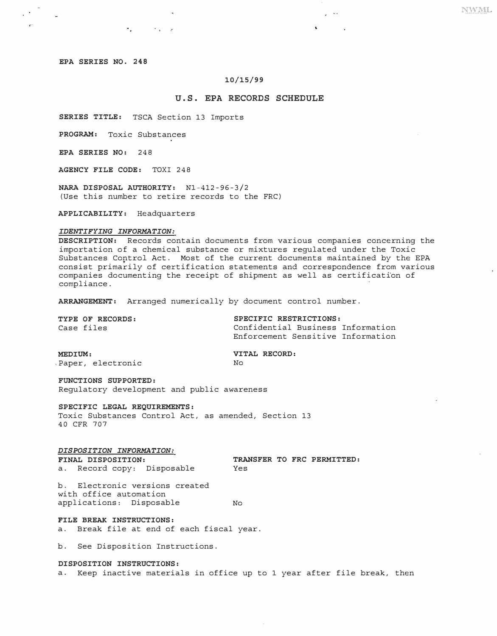## **EPA SERIES NO. 248**

2 X

 $\mathcal{L}^{\mathcal{L}}$ 

### **10/15/99**

# **U.S. EPA RECORDS SCHEDULE**

 $\sim$ 

V.

**SERIES TITLE:** TSCA Section 13 Imports

 $\overline{G}$  , and  $\overline{G}$  , and  $\overline{G}$ 

**PROGRAM:** Toxic Substances

**EPA SERIES NO:** 248

**AGENCY FILE CODE:** TOXI 248

**NARA DISPOSAL AUTHORITY:** Nl-412-96-3/2 (Use this number to retire records to the FRC)

**APPLICABILITY:** Headquarters

### *IDENTIFYING INFORMATION:*

**DESCRIPTION:** Records contain documents from various companies concerning the importation of a chemical substance or mixtures regulated under the Toxic Substances Control Act. Most of the current documents maintained by the EPA consist prima�ily of certification statements and correspondence from various companies documenting the receipt of shipment as well as certificati'on of compliance.

**ARRANGEMENT:** Arranged numerically by document control number.

| SPECIFIC RESTRICTIONS:            |
|-----------------------------------|
| Confidential Business Information |
| Enforcement Sensitive Information |
|                                   |

**MEDIUM: VITAL RECORD:**<br>
Paper, electronic No Paper, electronic

**FUNCTIONS SUPPORTED:**  Regulatory development and public awareness

**SPECIFIC LEGAL REQUIREMENTS:**  Toxic Substances Control Act, as amended, Section 13 **40** CFR **707** 

*DISPOSITION INFORMATION:*  a. Record copy: Disposable

**TRANSFER TO FRC PERMITTED:** Yes

b. Electronic versions created with office automation applications: Disposable No

**FILE BREAK INSTRUCTIONS:**  a. Break file at end of each fiscal year.

b. See Disposition Instructions.

#### **DISPOSITION INSTRUCTIONS:**

a. Keep inactive materials in office up to 1 year after file break, then